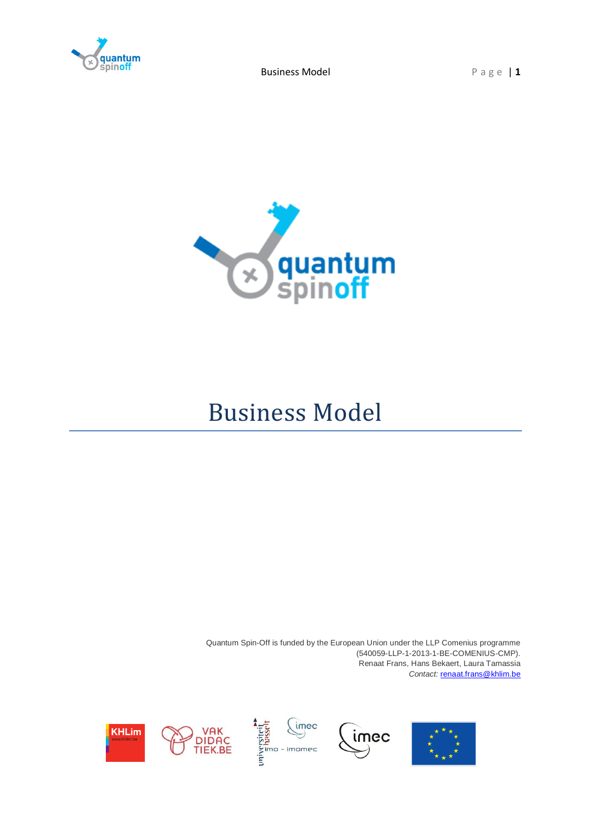

Business Model Page | 1



# Business Model

Quantum Spin-Off is funded by the European Union under the LLP Comenius programme (540059-LLP-1-2013-1-BE-COMENIUS-CMP). Renaat Frans, Hans Bekaert, Laura Tamassia *Contact:* [renaat.frans@khlim.be](mailto:renaat.frans@khlim.be)







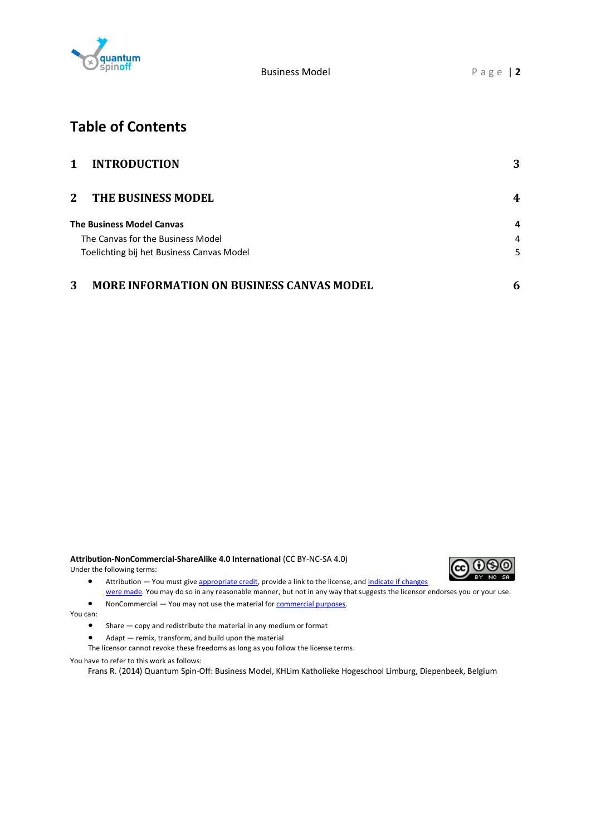

## **Table of Contents**

| 1<br><b>INTRODUCTION</b>                              | 3 |
|-------------------------------------------------------|---|
| $\mathbf{2}$<br>THE BUSINESS MODEL                    | 4 |
| <b>The Business Model Canvas</b>                      | 4 |
| The Canvas for the Business Model                     | 4 |
| Toelichting bij het Business Canvas Model             | 5 |
| 3<br><b>MORE INFORMATION ON BUSINESS CANVAS MODEL</b> | 6 |

**Attribution-NonCommercial-ShareAlike 4.0 International** (CC BY-NC-SA 4.0) Under the following terms:



- Attribution You must give [appropriate credit,](https://creativecommons.org/licenses/by-nc-sa/4.0/) provide a link to the license, and [indicate if changes](https://creativecommons.org/licenses/by-nc-sa/4.0/)  [were made.](https://creativecommons.org/licenses/by-nc-sa/4.0/) You may do so in any reasonable manner, but not in any way that suggests the licensor endorses you or your use.
- NonCommercial You may not use the material for [commercial purposes.](https://creativecommons.org/licenses/by-nc-sa/4.0/)

You can:

- Share copy and redistribute the material in any medium or format
- Adapt remix, transform, and build upon the material

The licensor cannot revoke these freedoms as long as you follow the license terms.

You have to refer to this work as follows:

Frans R. (2014) Quantum Spin-Off: Business Model, KHLim Katholieke Hogeschool Limburg, Diepenbeek, Belgium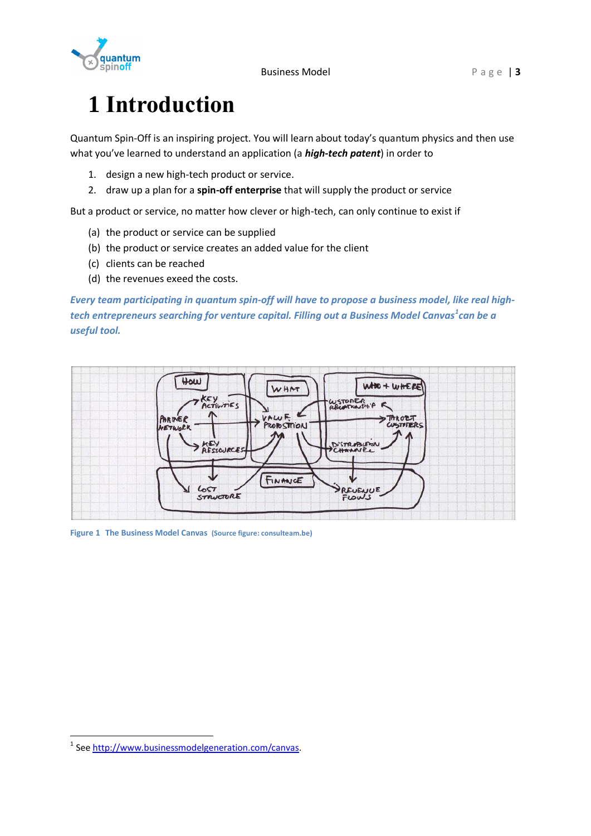

# <span id="page-2-0"></span>**1 Introduction**

Quantum Spin-Off is an inspiring project. You will learn about today's quantum physics and then use what you've learned to understand an application (a *high-tech patent*) in order to

- 1. design a new high-tech product or service.
- 2. draw up a plan for a **spin-off enterprise** that will supply the product or service

But a product or service, no matter how clever or high-tech, can only continue to exist if

- (a) the product or service can be supplied
- (b) the product or service creates an added value for the client
- (c) clients can be reached
- (d) the revenues exeed the costs.

*Every team participating in quantum spin-off will have to propose a business model, like real hightech entrepreneurs searching for venture capital. Filling out a Business Model Canvas<sup>1</sup> can be a useful tool.*



**Figure 1 The Business Model Canvas (Source figure: consulteam.be)**

-

<sup>&</sup>lt;sup>1</sup> Se[e http://www.businessmodelgeneration.com/canvas.](http://www.businessmodelgeneration.com/canvas)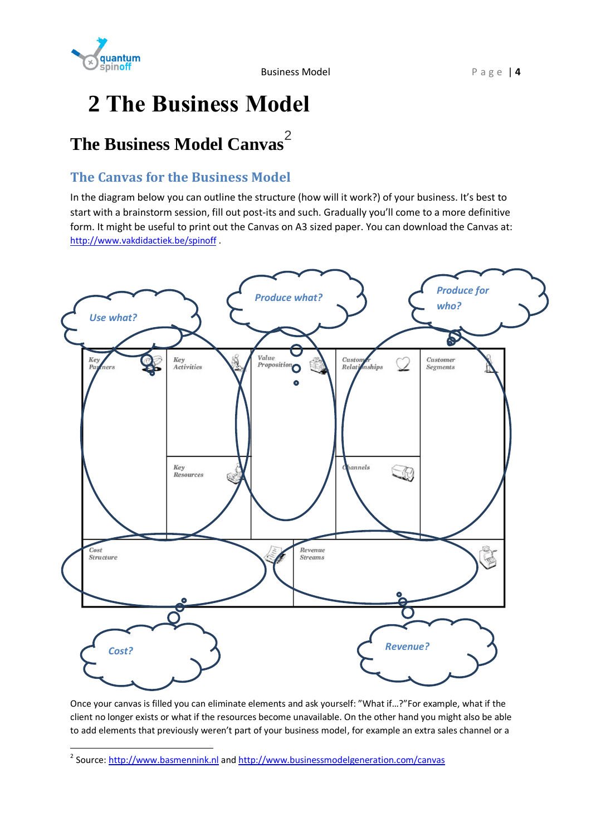

# <span id="page-3-0"></span>**2 The Business Model**

## <span id="page-3-1"></span>**The Business Model Canvas**<sup>2</sup>

### <span id="page-3-2"></span>**The Canvas for the Business Model**

In the diagram below you can outline the structure (how will it work?) of your business. It's best to start with a brainstorm session, fill out post-its and such. Gradually you'll come to a more definitive form. It might be useful to print out the Canvas on A3 sized paper. You can download the Canvas at: <http://www.vakdidactiek.be/spinoff> .



Once your canvas is filled you can eliminate elements and ask yourself: "What if…?"For example, what if the client no longer exists or what if the resources become unavailable. On the other hand you might also be able to add elements that previously weren't part of your business model, for example an extra sales channel or a

 2 Source[: http://www.basmennink.nl](http://www.basmennink.nl/) and <http://www.businessmodelgeneration.com/canvas>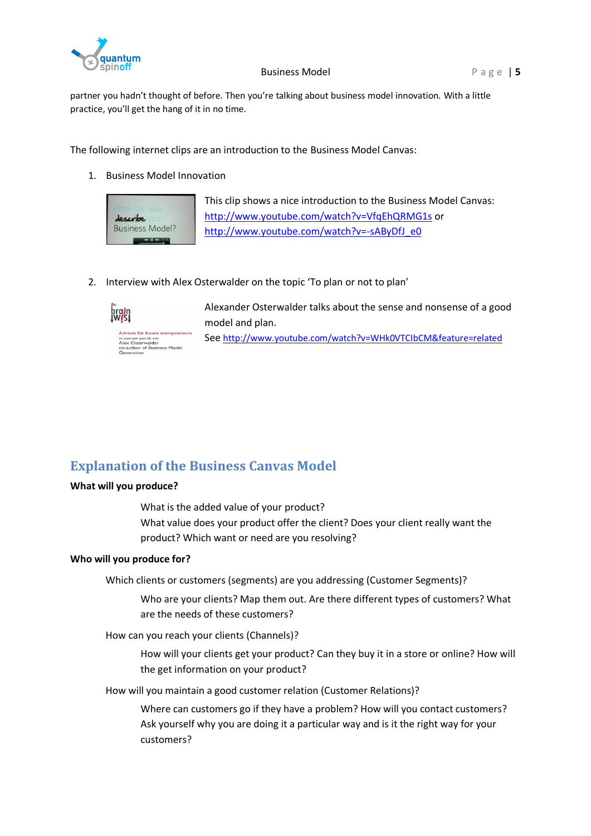

partner you hadn't thought of before. Then you're talking about business model innovation. With a little practice, you'll get the hang of it in no time.

The following internet clips are an introduction to the Business Model Canvas:

1. Business Model Innovation



2. Interview with Alex Osterwalder on the topic 'To plan or not to plan'



Alexander Osterwalder talks about the sense and nonsense of a good model and plan.

See <http://www.youtube.com/watch?v=WHk0VTCIbCM&feature=related>

### <span id="page-4-0"></span>**Explanation of the Business Canvas Model**

### **What will you produce?**

What is the added value of your product? What value does your product offer the client? Does your client really want the product? Which want or need are you resolving?

### **Who will you produce for?**

Which clients or customers (segments) are you addressing (Customer Segments)?

Who are your clients? Map them out. Are there different types of customers? What are the needs of these customers?

How can you reach your clients (Channels)?

How will your clients get your product? Can they buy it in a store or online? How will the get information on your product?

How will you maintain a good customer relation (Customer Relations)?

Where can customers go if they have a problem? How will you contact customers? Ask yourself why you are doing it a particular way and is it the right way for your customers?